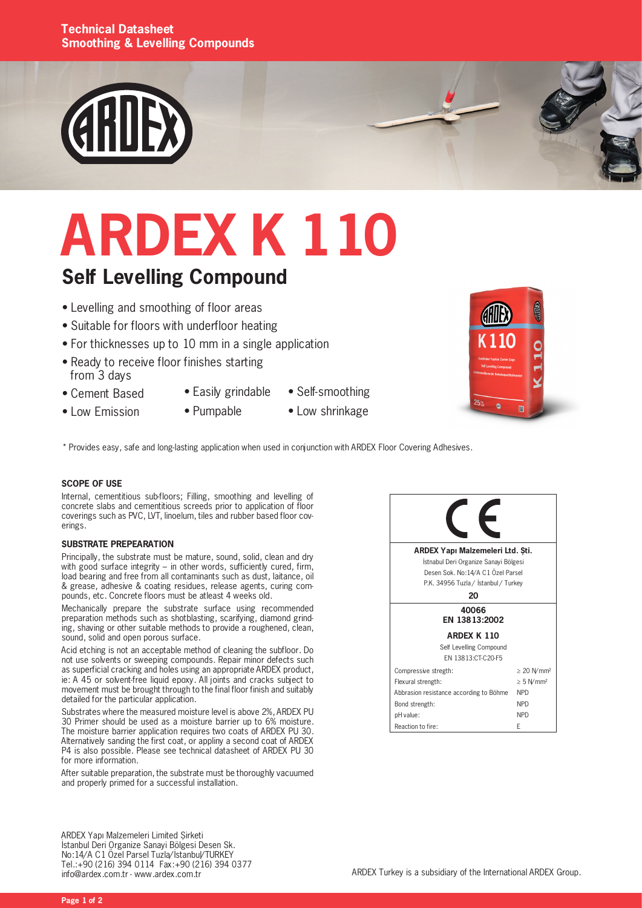#### **Technical Datasheet Smoothing & Levelling Compounds**



# **ARDEX K 110**

### **Self Levelling Compound**

- Levelling and smoothing of floor areas
- Suitable for floors with underfloor heating
- For thicknesses up to 10 mm in a single application
- Ready to receive floor finishes starting from 3 days
- Cement Based
- Easily grindable
	- Self-smoothing
- Low Emission
- Pumpable
- Low shrinkage
- \* Provides easy, safe and long-lasting application when used in conjunction with ARDEX Floor Covering Adhesives.

#### **SCOPE OF USE**

Internal, cementitious sub-floors; Filling, smoothing and levelling of concrete slabs and cementitious screeds prior to application of floor coverings such as PVC, LVT, linoelum, tiles and rubber based floor coverings.

#### **SUBSTRATE PREPEARATION**

Principally, the substrate must be mature, sound, solid, clean and dry with good surface integrity – in other words, sufficiently cured, firm, load bearing and free from all contaminants such as dust, laitance, oil & grease, adhesive & coating residues, release agents, curing compounds, etc. Concrete floors must be atleast 4 weeks old.

Mechanically prepare the substrate surface using recommended preparation methods such as shotblasting, scarifying, diamond grinding, shaving or other suitable methods to provide a roughened, clean, sound, solid and open porous surface.

Acid etching is not an acceptable method of cleaning the subfloor. Do not use solvents or sweeping compounds. Repair minor defects such as superficial cracking and holes using an appropriate ARDEX product, ie: A 45 or solvent-free liquid epoxy. All joints and cracks subject to movement must be brought through to the final floor finish and suitably detailed for the particular application.

Substrates where the measured moisture level is above 2%, ARDEX PU 30 Primer should be used as a moisture barrier up to 6% moisture. The moisture barrier application requires two coats of ARDEX PU 30. Alternatively sanding the first coat, or appliny a second coat of ARDEX P4 is also possible. Please see technical datasheet of ARDEX PU 30 for more information.

After suitable preparation, the substrate must be thoroughly vacuumed and properly primed for a successful installation.

ARDEX Yapı Malzemeleri Limited Şirketi İstanbul Deri Organize Sanayi Bölgesi Desen Sk. No:14/A C1 Özel Parsel Tuzla/İstanbul/TURKEY Tel.:+90 (216) 394 0114 Fax:+90 (216) 394 0377 info@ardex.com.tr - www.ardex.com.tr





**Page 1 of 2**